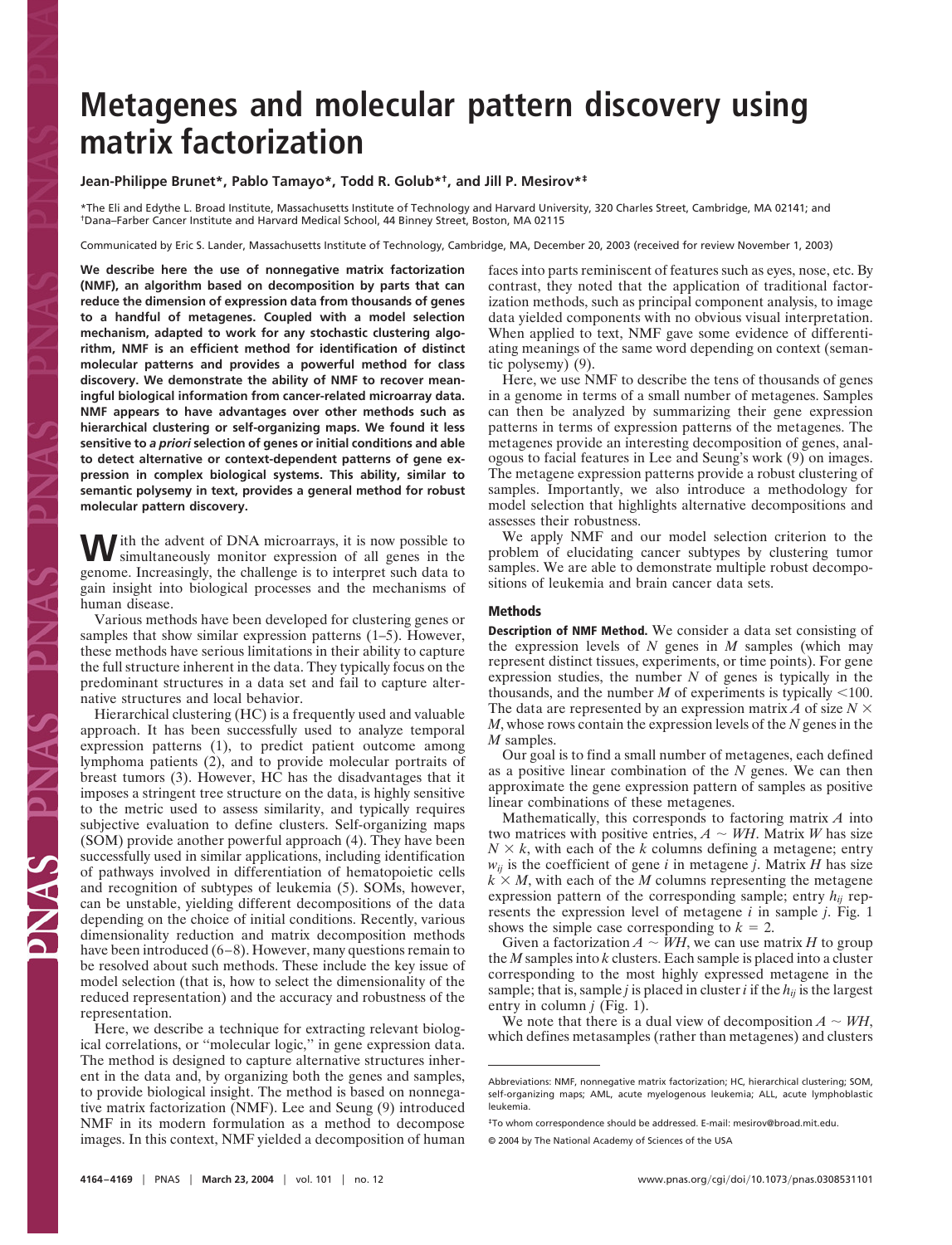# **Metagenes and molecular pattern discovery using matrix factorization**

### **Jean-Philippe Brunet\*, Pablo Tamayo\*, Todd R. Golub\*†, and Jill P. Mesirov\*‡**

\*The Eli and Edythe L. Broad Institute, Massachusetts Institute of Technology and Harvard University, 320 Charles Street, Cambridge, MA 02141; and †Dana–Farber Cancer Institute and Harvard Medical School, 44 Binney Street, Boston, MA 02115

Communicated by Eric S. Lander, Massachusetts Institute of Technology, Cambridge, MA, December 20, 2003 (received for review November 1, 2003)

**We describe here the use of nonnegative matrix factorization (NMF), an algorithm based on decomposition by parts that can reduce the dimension of expression data from thousands of genes to a handful of metagenes. Coupled with a model selection mechanism, adapted to work for any stochastic clustering algorithm, NMF is an efficient method for identification of distinct molecular patterns and provides a powerful method for class discovery. We demonstrate the ability of NMF to recover meaningful biological information from cancer-related microarray data. NMF appears to have advantages over other methods such as hierarchical clustering or self-organizing maps. We found it less sensitive to** *a priori* **selection of genes or initial conditions and able to detect alternative or context-dependent patterns of gene expression in complex biological systems. This ability, similar to semantic polysemy in text, provides a general method for robust molecular pattern discovery.**

With the advent of DNA microarrays, it is now possible to simultaneously monitor expression of all genes in the genome. Increasingly, the challenge is to interpret such data to gain insight into biological processes and the mechanisms of human disease.

Various methods have been developed for clustering genes or samples that show similar expression patterns  $(1-5)$ . However, these methods have serious limitations in their ability to capture the full structure inherent in the data. They typically focus on the predominant structures in a data set and fail to capture alternative structures and local behavior.

Hierarchical clustering (HC) is a frequently used and valuable approach. It has been successfully used to analyze temporal expression patterns (1), to predict patient outcome among lymphoma patients (2), and to provide molecular portraits of breast tumors (3). However, HC has the disadvantages that it imposes a stringent tree structure on the data, is highly sensitive to the metric used to assess similarity, and typically requires subjective evaluation to define clusters. Self-organizing maps (SOM) provide another powerful approach (4). They have been successfully used in similar applications, including identification of pathways involved in differentiation of hematopoietic cells and recognition of subtypes of leukemia (5). SOMs, however, can be unstable, yielding different decompositions of the data depending on the choice of initial conditions. Recently, various dimensionality reduction and matrix decomposition methods have been introduced (6–8). However, many questions remain to be resolved about such methods. These include the key issue of model selection (that is, how to select the dimensionality of the reduced representation) and the accuracy and robustness of the representation.

Here, we describe a technique for extracting relevant biological correlations, or ''molecular logic,'' in gene expression data. The method is designed to capture alternative structures inherent in the data and, by organizing both the genes and samples, to provide biological insight. The method is based on nonnegative matrix factorization (NMF). Lee and Seung (9) introduced NMF in its modern formulation as a method to decompose images. In this context, NMF yielded a decomposition of human faces into parts reminiscent of features such as eyes, nose, etc. By contrast, they noted that the application of traditional factorization methods, such as principal component analysis, to image data yielded components with no obvious visual interpretation. When applied to text, NMF gave some evidence of differentiating meanings of the same word depending on context (semantic polysemy) (9).

Here, we use NMF to describe the tens of thousands of genes in a genome in terms of a small number of metagenes. Samples can then be analyzed by summarizing their gene expression patterns in terms of expression patterns of the metagenes. The metagenes provide an interesting decomposition of genes, analogous to facial features in Lee and Seung's work (9) on images. The metagene expression patterns provide a robust clustering of samples. Importantly, we also introduce a methodology for model selection that highlights alternative decompositions and assesses their robustness.

We apply NMF and our model selection criterion to the problem of elucidating cancer subtypes by clustering tumor samples. We are able to demonstrate multiple robust decompositions of leukemia and brain cancer data sets.

#### **Methods**

**Description of NMF Method.** We consider a data set consisting of the expression levels of *N* genes in *M* samples (which may represent distinct tissues, experiments, or time points). For gene expression studies, the number *N* of genes is typically in the thousands, and the number  $M$  of experiments is typically  $\leq 100$ . The data are represented by an expression matrix *A* of size  $N \times$ *M*, whose rows contain the expression levels of the *N* genes in the *M* samples.

Our goal is to find a small number of metagenes, each defined as a positive linear combination of the *N* genes. We can then approximate the gene expression pattern of samples as positive linear combinations of these metagenes.

Mathematically, this corresponds to factoring matrix *A* into two matrices with positive entries,  $A \sim WH$ . Matrix *W* has size  $N \times k$ , with each of the *k* columns defining a metagene; entry  $w_{ij}$  is the coefficient of gene *i* in metagene *j*. Matrix *H* has size  $k \times M$ , with each of the *M* columns representing the metagene expression pattern of the corresponding sample; entry  $h_{ij}$  represents the expression level of metagene *i* in sample *j*. Fig. 1 shows the simple case corresponding to  $k = 2$ .

Given a factorization  $A \sim WH$ , we can use matrix *H* to group the *M* samples into *k* clusters. Each sample is placed into a cluster corresponding to the most highly expressed metagene in the sample; that is, sample *j* is placed in cluster *i* if the  $h_{ij}$  is the largest entry in column *j* (Fig. 1).

We note that there is a dual view of decomposition  $A \sim WH$ , which defines metasamples (rather than metagenes) and clusters

Abbreviations: NMF, nonnegative matrix factorization; HC, hierarchical clustering; SOM, self-organizing maps; AML, acute myelogenous leukemia; ALL, acute lymphoblastic leukemia.

<sup>‡</sup>To whom correspondence should be addressed. E-mail: mesirov@broad.mit.edu.

<sup>© 2004</sup> by The National Academy of Sciences of the USA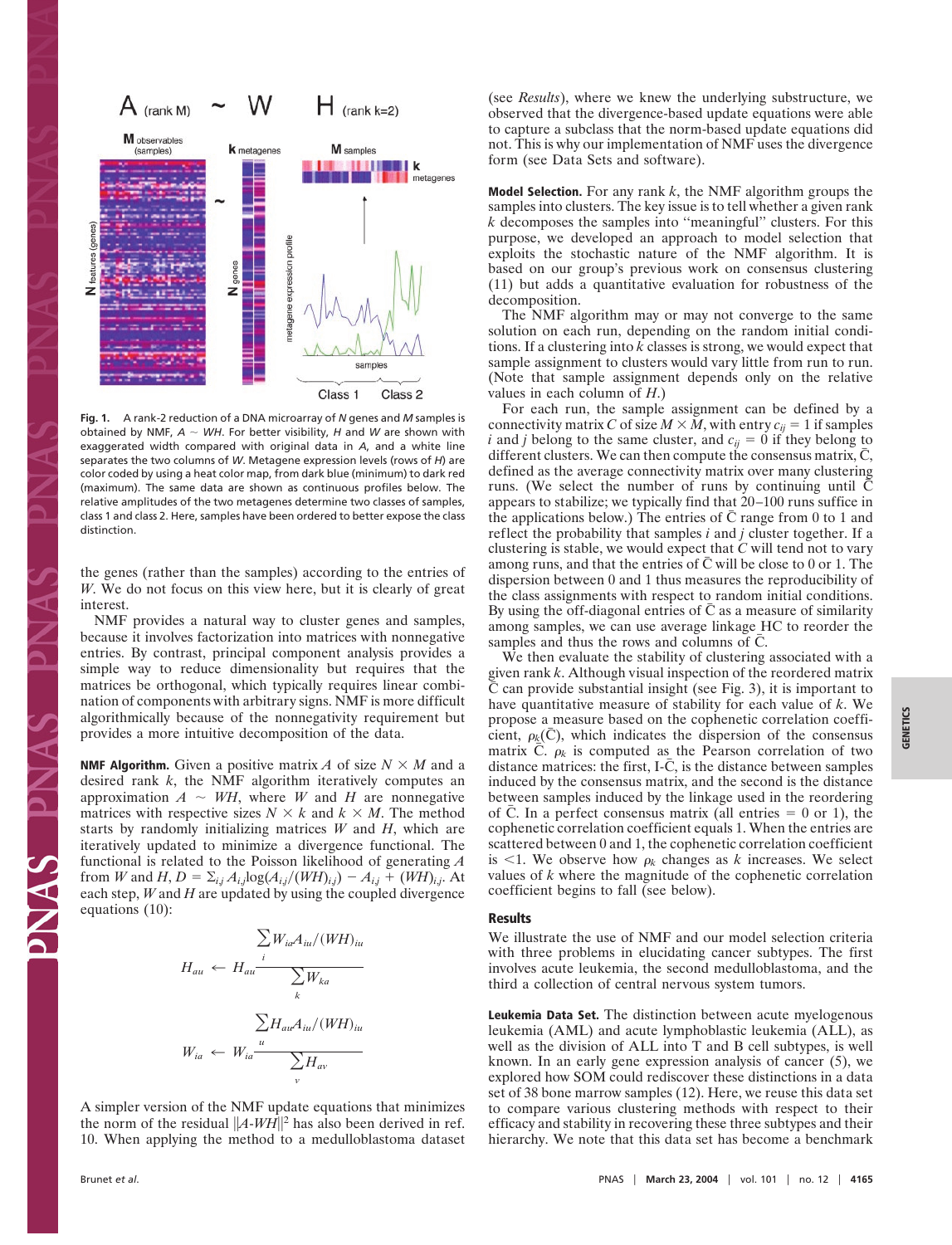

**Fig. 1.** A rank-2 reduction of a DNA microarray of *N* genes and *M* samples is obtained by NMF,  $A \sim WH$ . For better visibility, *H* and *W* are shown with exaggerated width compared with original data in *A*, and a white line separates the two columns of *W*. Metagene expression levels (rows of *H*) are color coded by using a heat color map, from dark blue (minimum) to dark red (maximum). The same data are shown as continuous profiles below. The relative amplitudes of the two metagenes determine two classes of samples, class 1 and class 2. Here, samples have been ordered to better expose the class distinction.

the genes (rather than the samples) according to the entries of *W*. We do not focus on this view here, but it is clearly of great interest.

NMF provides a natural way to cluster genes and samples, because it involves factorization into matrices with nonnegative entries. By contrast, principal component analysis provides a simple way to reduce dimensionality but requires that the matrices be orthogonal, which typically requires linear combination of components with arbitrary signs. NMF is more difficult algorithmically because of the nonnegativity requirement but provides a more intuitive decomposition of the data.

**NMF Algorithm.** Given a positive matrix A of size  $N \times M$  and a desired rank *k*, the NMF algorithm iteratively computes an approximation  $A \sim WH$ , where *W* and *H* are nonnegative matrices with respective sizes  $N \times k$  and  $k \times M$ . The method starts by randomly initializing matrices *W* and *H*, which are iteratively updated to minimize a divergence functional. The functional is related to the Poisson likelihood of generating *A* from *W* and *H*,  $D = \sum_{i,j} A_{i,j} \log(A_{i,j}/(WH)_{i,j}) - A_{i,j} + (WH)_{i,j}$ . At each step, *W* and *H* are updated by using the coupled divergence equations (10):

$$
H_{au} \leftarrow H_{au} \frac{\sum_{i} W_{ia} A_{iu} / (WH)_{iu}}{\sum_{k} W_{ka}}
$$

$$
W_{ia} \leftarrow W_{ia} \frac{\sum_{i} H_{au} A_{iu} / (WH)_{iu}}{\sum_{v}}
$$

A simpler version of the NMF update equations that minimizes the norm of the residual  $\left\|A-WH\right\|^2$  has also been derived in ref. 10. When applying the method to a medulloblastoma dataset (see *Results*), where we knew the underlying substructure, we observed that the divergence-based update equations were able to capture a subclass that the norm-based update equations did not. This is why our implementation of NMF uses the divergence form (see Data Sets and software).

**Model Selection.** For any rank *k*, the NMF algorithm groups the samples into clusters. The key issue is to tell whether a given rank *k* decomposes the samples into ''meaningful'' clusters. For this purpose, we developed an approach to model selection that exploits the stochastic nature of the NMF algorithm. It is based on our group's previous work on consensus clustering (11) but adds a quantitative evaluation for robustness of the decomposition.

The NMF algorithm may or may not converge to the same solution on each run, depending on the random initial conditions. If a clustering into *k* classes is strong, we would expect that sample assignment to clusters would vary little from run to run. (Note that sample assignment depends only on the relative values in each column of *H*.)

For each run, the sample assignment can be defined by a connectivity matrix *C* of size  $M \times M$ , with entry  $c_{ij} = 1$  if samples *i* and *j* belong to the same cluster, and  $c_{ij} = 0$  if they belong to different clusters. We can then compute the consensus matrix,  $\overline{C}$ , defined as the average connectivity matrix over many clustering runs. (We select the number of runs by continuing until C appears to stabilize; we typically find that 20–100 runs suffice in the applications below.) The entries of  $\bar{C}$  range from 0 to 1 and reflect the probability that samples *i* and *j* cluster together. If a clustering is stable, we would expect that *C* will tend not to vary among runs, and that the entries of C will be close to 0 or 1. The dispersion between 0 and 1 thus measures the reproducibility of the class assignments with respect to random initial conditions. By using the off-diagonal entries of  $\bar{C}$  as a measure of similarity among samples, we can use average linkage HC to reorder the samples and thus the rows and columns of  $\overline{C}$ .

We then evaluate the stability of clustering associated with a given rank *k*. Although visual inspection of the reordered matrix C can provide substantial insight (see Fig. 3), it is important to have quantitative measure of stability for each value of *k*. We propose a measure based on the cophenetic correlation coefficient,  $\rho_k(\bar{C})$ , which indicates the dispersion of the consensus matrix C.  $\rho_k$  is computed as the Pearson correlation of two distance matrices: the first, I-C, is the distance between samples induced by the consensus matrix, and the second is the distance between samples induced by the linkage used in the reordering of C. In a perfect consensus matrix (all entries  $= 0$  or 1), the cophenetic correlation coefficient equals 1. When the entries are scattered between 0 and 1, the cophenetic correlation coefficient is  $1.$  We observe how  $\rho_k$  changes as *k* increases. We select values of *k* where the magnitude of the cophenetic correlation coefficient begins to fall (see below).

#### **Results**

We illustrate the use of NMF and our model selection criteria with three problems in elucidating cancer subtypes. The first involves acute leukemia, the second medulloblastoma, and the third a collection of central nervous system tumors.

**Leukemia Data Set.** The distinction between acute myelogenous leukemia (AML) and acute lymphoblastic leukemia (ALL), as well as the division of ALL into T and B cell subtypes, is well known. In an early gene expression analysis of cancer (5), we explored how SOM could rediscover these distinctions in a data set of 38 bone marrow samples (12). Here, we reuse this data set to compare various clustering methods with respect to their efficacy and stability in recovering these three subtypes and their hierarchy. We note that this data set has become a benchmark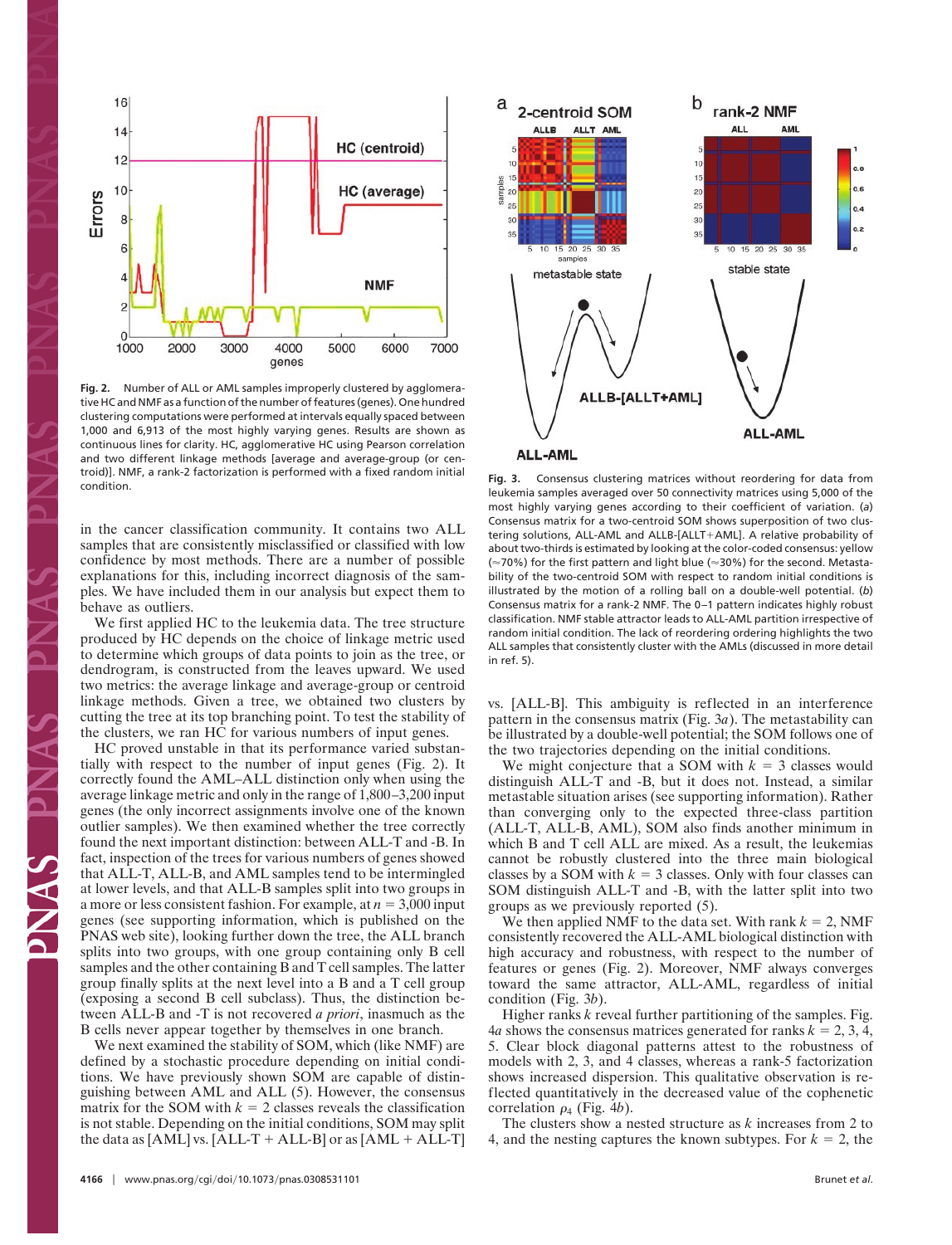

**Fig. 2.** Number of ALL or AML samples improperly clustered by agglomerative HC and NMF as a function of the number of features (genes). One hundred clustering computations were performed at intervals equally spaced between 1,000 and 6,913 of the most highly varying genes. Results are shown as continuous lines for clarity. HC, agglomerative HC using Pearson correlation and two different linkage methods [average and average-group (or centroid)]. NMF, a rank-2 factorization is performed with a fixed random initial condition. **Fig. 3.** Consensus clustering matrices without reordering for data from

in the cancer classification community. It contains two ALL samples that are consistently misclassified or classified with low confidence by most methods. There are a number of possible explanations for this, including incorrect diagnosis of the samples. We have included them in our analysis but expect them to behave as outliers.

We first applied HC to the leukemia data. The tree structure produced by HC depends on the choice of linkage metric used to determine which groups of data points to join as the tree, or dendrogram, is constructed from the leaves upward. We used two metrics: the average linkage and average-group or centroid linkage methods. Given a tree, we obtained two clusters by cutting the tree at its top branching point. To test the stability of the clusters, we ran HC for various numbers of input genes.

HC proved unstable in that its performance varied substantially with respect to the number of input genes (Fig. 2). It correctly found the AML–ALL distinction only when using the average linkage metric and only in the range of 1,800–3,200 input genes (the only incorrect assignments involve one of the known outlier samples). We then examined whether the tree correctly found the next important distinction: between ALL-T and -B. In fact, inspection of the trees for various numbers of genes showed that ALL-T, ALL-B, and AML samples tend to be intermingled at lower levels, and that ALL-B samples split into two groups in a more or less consistent fashion. For example, at  $n = 3,000$  input genes (see supporting information, which is published on the PNAS web site), looking further down the tree, the ALL branch splits into two groups, with one group containing only B cell samples and the other containing B and T cell samples. The latter group finally splits at the next level into a B and a T cell group (exposing a second B cell subclass). Thus, the distinction between ALL-B and -T is not recovered *a priori*, inasmuch as the B cells never appear together by themselves in one branch.

We next examined the stability of SOM, which (like NMF) are defined by a stochastic procedure depending on initial conditions. We have previously shown SOM are capable of distinguishing between AML and ALL (5). However, the consensus matrix for the SOM with  $k = 2$  classes reveals the classification is not stable. Depending on the initial conditions, SOM may split the data as  $[AML]$  vs.  $[ALL-T + ALL-B]$  or as  $[AML + ALL-T]$ 



leukemia samples averaged over 50 connectivity matrices using 5,000 of the most highly varying genes according to their coefficient of variation. (*a*) Consensus matrix for a two-centroid SOM shows superposition of two clustering solutions, ALL-AML and ALLB-[ALLT+AML]. A relative probability of about two-thirds is estimated by looking at the color-coded consensus: yellow ( 70%) for the first pattern and light blue ( 30%) for the second. Metastability of the two-centroid SOM with respect to random initial conditions is illustrated by the motion of a rolling ball on a double-well potential. (*b*) Consensus matrix for a rank-2 NMF. The 0–1 pattern indicates highly robust classification. NMF stable attractor leads to ALL-AML partition irrespective of random initial condition. The lack of reordering ordering highlights the two ALL samples that consistently cluster with the AMLs (discussed in more detail in ref. 5).

vs. [ALL-B]. This ambiguity is reflected in an interference pattern in the consensus matrix (Fig. 3*a*). The metastability can be illustrated by a double-well potential; the SOM follows one of the two trajectories depending on the initial conditions.

We might conjecture that a SOM with  $k = 3$  classes would distinguish ALL-T and -B, but it does not. Instead, a similar metastable situation arises (see supporting information). Rather than converging only to the expected three-class partition (ALL-T, ALL-B, AML), SOM also finds another minimum in which B and T cell ALL are mixed. As a result, the leukemias cannot be robustly clustered into the three main biological classes by a SOM with  $k = 3$  classes. Only with four classes can SOM distinguish ALL-T and -B, with the latter split into two groups as we previously reported (5).

We then applied NMF to the data set. With rank  $k = 2$ , NMF consistently recovered the ALL-AML biological distinction with high accuracy and robustness, with respect to the number of features or genes (Fig. 2). Moreover, NMF always converges toward the same attractor, ALL-AML, regardless of initial condition (Fig. 3*b*).

Higher ranks *k* reveal further partitioning of the samples. Fig. 4*a* shows the consensus matrices generated for ranks  $k = 2, 3, 4$ , 5. Clear block diagonal patterns attest to the robustness of models with 2, 3, and 4 classes, whereas a rank-5 factorization shows increased dispersion. This qualitative observation is reflected quantitatively in the decreased value of the cophenetic correlation  $\rho_4$  (Fig. 4*b*).

The clusters show a nested structure as *k* increases from 2 to 4, and the nesting captures the known subtypes. For  $k = 2$ , the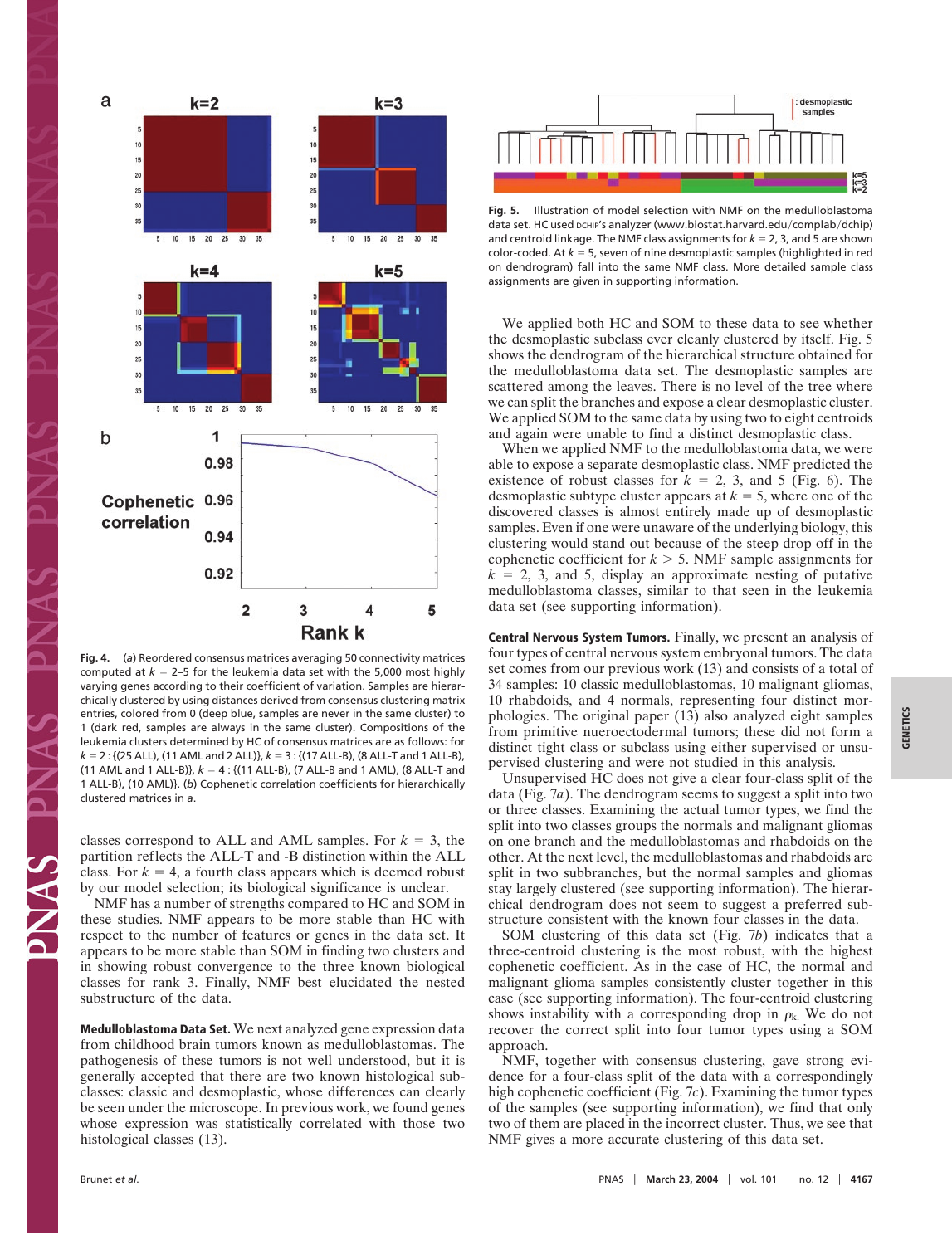

**Fig. 4.** (*a*) Reordered consensus matrices averaging 50 connectivity matrices computed at  $k = 2-5$  for the leukemia data set with the 5,000 most highly varying genes according to their coefficient of variation. Samples are hierarchically clustered by using distances derived from consensus clustering matrix entries, colored from 0 (deep blue, samples are never in the same cluster) to 1 (dark red, samples are always in the same cluster). Compositions of the leukemia clusters determined by HC of consensus matrices are as follows: for *k* 2 : {(25 ALL), (11 AML and 2 ALL)}, *k* 3 : {(17 ALL-B), (8 ALL-T and 1 ALL-B), (11 AML and 1 ALL-B)}, *k* 4 : {(11 ALL-B), (7 ALL-B and 1 AML), (8 ALL-T and 1 ALL-B), (10 AML)}. (*b*) Cophenetic correlation coefficients for hierarchically clustered matrices in *a*.

classes correspond to ALL and AML samples. For  $k = 3$ , the partition reflects the ALL-T and -B distinction within the ALL class. For  $k = 4$ , a fourth class appears which is deemed robust by our model selection; its biological significance is unclear.

NMF has a number of strengths compared to HC and SOM in these studies. NMF appears to be more stable than HC with respect to the number of features or genes in the data set. It appears to be more stable than SOM in finding two clusters and in showing robust convergence to the three known biological classes for rank 3. Finally, NMF best elucidated the nested substructure of the data.

**Medulloblastoma Data Set.** We next analyzed gene expression data from childhood brain tumors known as medulloblastomas. The pathogenesis of these tumors is not well understood, but it is generally accepted that there are two known histological subclasses: classic and desmoplastic, whose differences can clearly be seen under the microscope. In previous work, we found genes whose expression was statistically correlated with those two histological classes (13).



**Fig. 5.** Illustration of model selection with NMF on the medulloblastoma data set. HC used DCHIP's analyzer (www.biostat.harvard.edu/complab/dchip) and centroid linkage. The NMF class assignments for  $k = 2$ , 3, and 5 are shown color-coded. At  $k = 5$ , seven of nine desmoplastic samples (highlighted in red on dendrogram) fall into the same NMF class. More detailed sample class assignments are given in supporting information.

We applied both HC and SOM to these data to see whether the desmoplastic subclass ever cleanly clustered by itself. Fig. 5 shows the dendrogram of the hierarchical structure obtained for the medulloblastoma data set. The desmoplastic samples are scattered among the leaves. There is no level of the tree where we can split the branches and expose a clear desmoplastic cluster. We applied SOM to the same data by using two to eight centroids and again were unable to find a distinct desmoplastic class.

When we applied NMF to the medulloblastoma data, we were able to expose a separate desmoplastic class. NMF predicted the existence of robust classes for  $k = 2, 3$ , and 5 (Fig. 6). The desmoplastic subtype cluster appears at  $k = 5$ , where one of the discovered classes is almost entirely made up of desmoplastic samples. Even if one were unaware of the underlying biology, this clustering would stand out because of the steep drop off in the cophenetic coefficient for  $k > 5$ . NMF sample assignments for  $k = 2, 3,$  and 5, display an approximate nesting of putative medulloblastoma classes, similar to that seen in the leukemia data set (see supporting information).

**Central Nervous System Tumors.** Finally, we present an analysis of four types of central nervous system embryonal tumors. The data set comes from our previous work (13) and consists of a total of 34 samples: 10 classic medulloblastomas, 10 malignant gliomas, 10 rhabdoids, and 4 normals, representing four distinct morphologies. The original paper (13) also analyzed eight samples from primitive nueroectodermal tumors; these did not form a distinct tight class or subclass using either supervised or unsupervised clustering and were not studied in this analysis.

Unsupervised HC does not give a clear four-class split of the data (Fig. 7*a*). The dendrogram seems to suggest a split into two or three classes. Examining the actual tumor types, we find the split into two classes groups the normals and malignant gliomas on one branch and the medulloblastomas and rhabdoids on the other. At the next level, the medulloblastomas and rhabdoids are split in two subbranches, but the normal samples and gliomas stay largely clustered (see supporting information). The hierarchical dendrogram does not seem to suggest a preferred substructure consistent with the known four classes in the data.

SOM clustering of this data set (Fig. 7*b*) indicates that a three-centroid clustering is the most robust, with the highest cophenetic coefficient. As in the case of HC, the normal and malignant glioma samples consistently cluster together in this case (see supporting information). The four-centroid clustering shows instability with a corresponding drop in  $\rho_k$ . We do not recover the correct split into four tumor types using a SOM approach.

NMF, together with consensus clustering, gave strong evidence for a four-class split of the data with a correspondingly high cophenetic coefficient (Fig. 7*c*). Examining the tumor types of the samples (see supporting information), we find that only two of them are placed in the incorrect cluster. Thus, we see that NMF gives a more accurate clustering of this data set.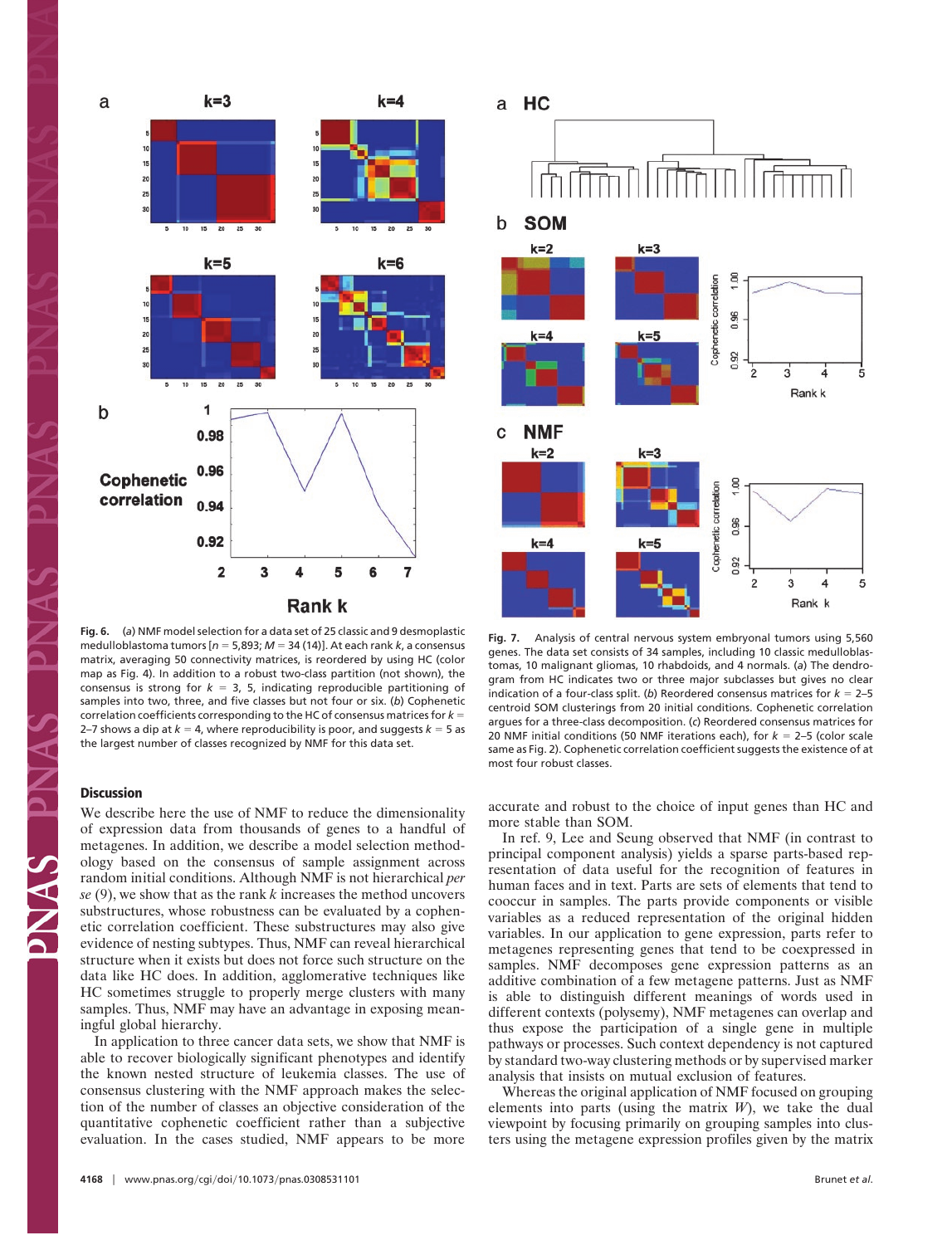

**Fig. 6.** (*a*) NMF model selection for a data set of 25 classic and 9 desmoplastic medulloblastoma tumors [ $n = 5,893$ ;  $M = 34$  (14)]. At each rank  $k$ , a consensus matrix, averaging 50 connectivity matrices, is reordered by using HC (color map as Fig. 4). In addition to a robust two-class partition (not shown), the consensus is strong for  $k = 3$ , 5, indicating reproducible partitioning of samples into two, three, and five classes but not four or six. (*b*) Cophenetic correlation coefficients corresponding to the HC of consensus matrices for *k* 2–7 shows a dip at  $k = 4$ , where reproducibility is poor, and suggests  $k = 5$  as the largest number of classes recognized by NMF for this data set.

## **Discussion**

We describe here the use of NMF to reduce the dimensionality of expression data from thousands of genes to a handful of metagenes. In addition, we describe a model selection methodology based on the consensus of sample assignment across random initial conditions. Although NMF is not hierarchical *per se* (9), we show that as the rank *k* increases the method uncovers substructures, whose robustness can be evaluated by a cophenetic correlation coefficient. These substructures may also give evidence of nesting subtypes. Thus, NMF can reveal hierarchical structure when it exists but does not force such structure on the data like HC does. In addition, agglomerative techniques like HC sometimes struggle to properly merge clusters with many samples. Thus, NMF may have an advantage in exposing meaningful global hierarchy.

In application to three cancer data sets, we show that NMF is able to recover biologically significant phenotypes and identify the known nested structure of leukemia classes. The use of consensus clustering with the NMF approach makes the selection of the number of classes an objective consideration of the quantitative cophenetic coefficient rather than a subjective evaluation. In the cases studied, NMF appears to be more





**Fig. 7.** Analysis of central nervous system embryonal tumors using 5,560 genes. The data set consists of 34 samples, including 10 classic medulloblastomas, 10 malignant gliomas, 10 rhabdoids, and 4 normals. (*a*) The dendrogram from HC indicates two or three major subclasses but gives no clear indication of a four-class split. (b) Reordered consensus matrices for  $k = 2-5$ centroid SOM clusterings from 20 initial conditions. Cophenetic correlation argues for a three-class decomposition. (*c*) Reordered consensus matrices for 20 NMF initial conditions (50 NMF iterations each), for  $k = 2-5$  (color scale same as Fig. 2). Cophenetic correlation coefficient suggests the existence of at most four robust classes.

accurate and robust to the choice of input genes than HC and more stable than SOM.

In ref. 9, Lee and Seung observed that NMF (in contrast to principal component analysis) yields a sparse parts-based representation of data useful for the recognition of features in human faces and in text. Parts are sets of elements that tend to cooccur in samples. The parts provide components or visible variables as a reduced representation of the original hidden variables. In our application to gene expression, parts refer to metagenes representing genes that tend to be coexpressed in samples. NMF decomposes gene expression patterns as an additive combination of a few metagene patterns. Just as NMF is able to distinguish different meanings of words used in different contexts (polysemy), NMF metagenes can overlap and thus expose the participation of a single gene in multiple pathways or processes. Such context dependency is not captured by standard two-way clustering methods or by supervised marker analysis that insists on mutual exclusion of features.

Whereas the original application of NMF focused on grouping elements into parts (using the matrix *W*), we take the dual viewpoint by focusing primarily on grouping samples into clusters using the metagene expression profiles given by the matrix